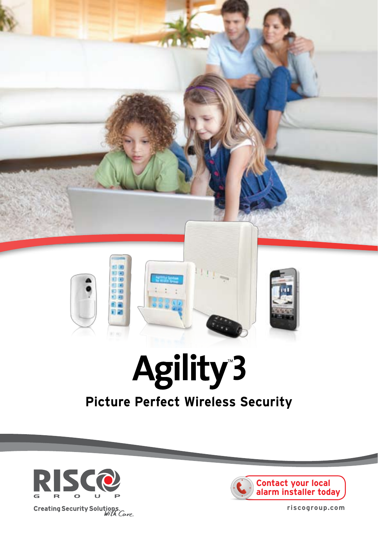

## **Picture Perfect Wireless Security**





riscogroup.com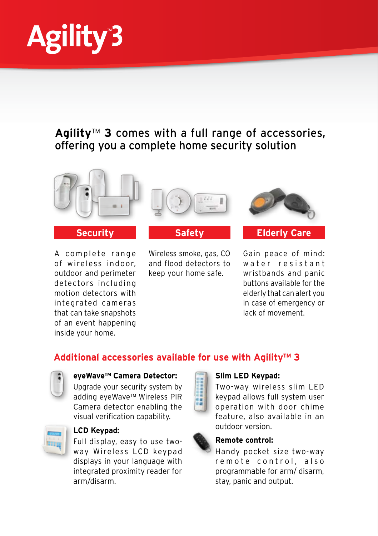

## Agility<sup>™</sup> 3 comes with a full range of accessories, offering you a complete home security solution



#### **Security**

A complete range of wireless indoor. outdoor and perimeter detectors including motion detectors with integrated cameras that can take snapshots of an event happening inside your home.



Wireless smoke, gas, CO and flood detectors to keep your home safe.



#### **Care Elderly**

Gain peace of mind: water resistant wristbands and panic buttons available for the elderly that can alert you in case of emergency or lack of movement.

## Additional accessories available for use with Agility<sup>™</sup> 3



#### eveWave<sup>™</sup> Camera Detector:

Upgrade your security system by adding eyeWave™ Wireless PIR Camera detector enabling the visual verification capability.



#### **LCD** Keypad:

way Wireless LCD keypad Full display, easy to use twodisplays in your language with integrated proximity reader for arm/disarm



#### **Slim LED Keypad:**

Two-way wireless slim LED keypad allows full system user operation with door chime feature, also available in an outdoor version



#### **Remote control:**

Handy pocket size two-way remote control, also programmable for arm/ disarm. stay, panic and output.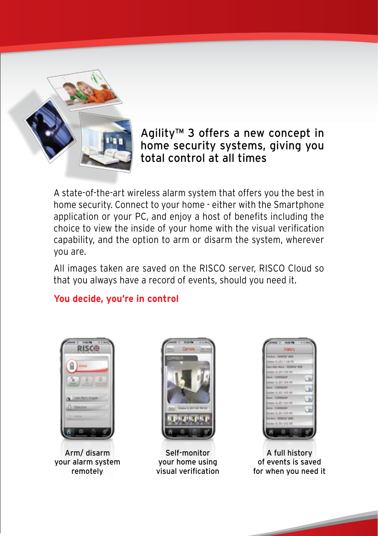

## Agility<sup>™</sup> 3 offers a new concept in home security systems, giving you total control at all times

A state-of-the-art wireless alarm system that offers you the best in home security. Connect to your home - either with the Smartphone application or your PC, and enjoy a host of benefits including the choice to view the inside of your home with the visual verification capability, and the option to arm or disarm the system, wherever you are.

All images taken are saved on the RISCO server, RISCO Cloud so that you always have a record of events, should you need it.

## **You decide, you're in control**



Arm/disarm your alarm system remotely



Self-monitor vour home using visual verification



A full history of events is saved for when you need it